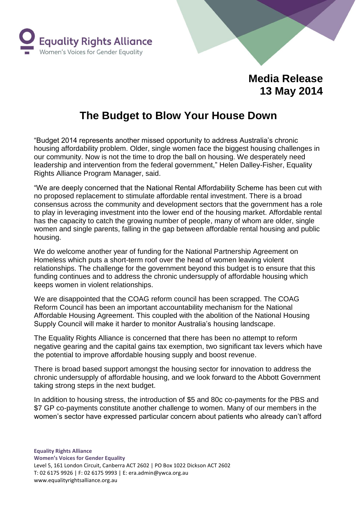

## **Media Release 13 May 2014**

## **The Budget to Blow Your House Down**

"Budget 2014 represents another missed opportunity to address Australia's chronic housing affordability problem. Older, single women face the biggest housing challenges in our community. Now is not the time to drop the ball on housing. We desperately need leadership and intervention from the federal government," Helen Dalley-Fisher, Equality Rights Alliance Program Manager, said.

"We are deeply concerned that the National Rental Affordability Scheme has been cut with no proposed replacement to stimulate affordable rental investment. There is a broad consensus across the community and development sectors that the government has a role to play in leveraging investment into the lower end of the housing market. Affordable rental has the capacity to catch the growing number of people, many of whom are older, single women and single parents, falling in the gap between affordable rental housing and public housing.

We do welcome another year of funding for the National Partnership Agreement on Homeless which puts a short-term roof over the head of women leaving violent relationships. The challenge for the government beyond this budget is to ensure that this funding continues and to address the chronic undersupply of affordable housing which keeps women in violent relationships.

We are disappointed that the COAG reform council has been scrapped. The COAG Reform Council has been an important accountability mechanism for the National Affordable Housing Agreement. This coupled with the abolition of the National Housing Supply Council will make it harder to monitor Australia's housing landscape.

The Equality Rights Alliance is concerned that there has been no attempt to reform negative gearing and the capital gains tax exemption, two significant tax levers which have the potential to improve affordable housing supply and boost revenue.

There is broad based support amongst the housing sector for innovation to address the chronic undersupply of affordable housing, and we look forward to the Abbott Government taking strong steps in the next budget.

In addition to housing stress, the introduction of \$5 and 80c co-payments for the PBS and \$7 GP co-payments constitute another challenge to women. Many of our members in the women's sector have expressed particular concern about patients who already can't afford